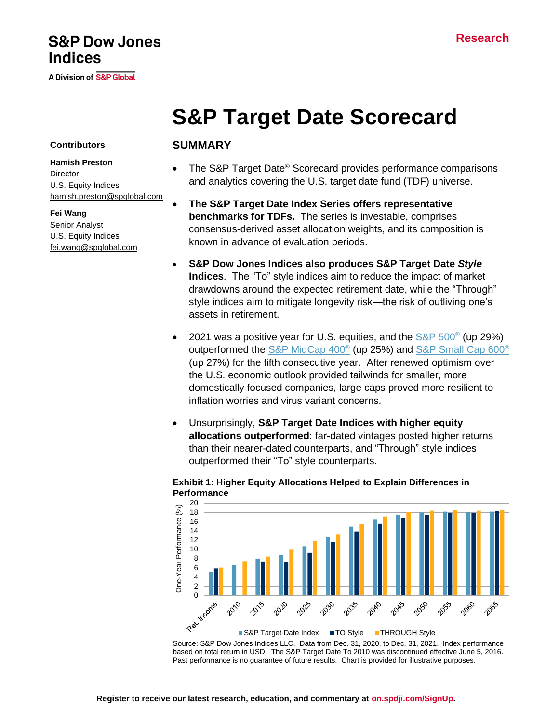## **S&P Dow Jones Indices**

A Division of S&P Global

# **S&P Target Date Scorecard**

#### **Contributors**

#### **Hamish Preston Director** U.S. Equity Indices [hamish.preston@spglobal.com](mailto:hamish.preston@spglobal.com/)

**Fei Wang** Senior Analyst U.S. Equity Indices [fei.wang@spglobal.com](mailto:fei.wang@spglobal.com)

#### **SUMMARY**

- The S&P Target Date® Scorecard provides performance comparisons and analytics covering the U.S. target date fund (TDF) universe.
- **The S&P Target Date Index Series offers representative benchmarks for TDFs.** The series is investable, comprises consensus-derived asset allocation weights, and its composition is known in advance of evaluation periods.
- **S&P Dow Jones Indices also produces S&P Target Date** *Style* **Indices**. The "To" style indices aim to reduce the impact of market drawdowns around the expected retirement date, while the "Through" style indices aim to mitigate longevity risk—the risk of outliving one's assets in retirement.
- 2021 was a positive year for U.S. equities, and the  $S\&P$  500<sup>®</sup> (up 29%) outperformed the [S&P MidCap 400](https://spglobal.com/spdji/en/indices/equity/sp-400/?utm_source=pdf_commentary)® (up 25%) and [S&P Small Cap 600](https://spglobal.com/spdji/en/indices/equity/sp-600/?utm_source=pdf_commentary)® (up 27%) for the fifth consecutive year. After renewed optimism over the U.S. economic outlook provided tailwinds for smaller, more domestically focused companies, large caps proved more resilient to inflation worries and virus variant concerns.
- Unsurprisingly, **S&P Target Date Indices with higher equity allocations outperformed**: far-dated vintages posted higher returns than their nearer-dated counterparts, and "Through" style indices outperformed their "To" style counterparts.



#### **Exhibit 1: Higher Equity Allocations Helped to Explain Differences in Performance**

Source: S&P Dow Jones Indices LLC. Data from Dec. 31, 2020, to Dec. 31, 2021. Index performance based on total return in USD. The S&P Target Date To 2010 was discontinued effective June 5, 2016. Past performance is no guarantee of future results. Chart is provided for illustrative purposes.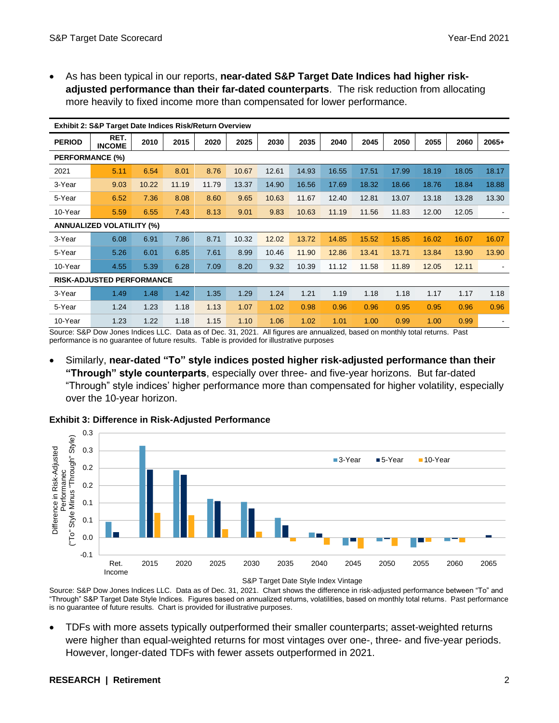• As has been typical in our reports, **near-dated S&P Target Date Indices had higher riskadjusted performance than their far-dated counterparts**. The risk reduction from allocating more heavily to fixed income more than compensated for lower performance.

| Exhibit 2: S&P Target Date Indices Risk/Return Overview |                       |       |       |       |       |       |       |       |       |       |       |       |         |
|---------------------------------------------------------|-----------------------|-------|-------|-------|-------|-------|-------|-------|-------|-------|-------|-------|---------|
| <b>PERIOD</b>                                           | RET.<br><b>INCOME</b> | 2010  | 2015  | 2020  | 2025  | 2030  | 2035  | 2040  | 2045  | 2050  | 2055  | 2060  | $2065+$ |
| <b>PERFORMANCE (%)</b>                                  |                       |       |       |       |       |       |       |       |       |       |       |       |         |
| 2021                                                    | 5.11                  | 6.54  | 8.01  | 8.76  | 10.67 | 12.61 | 14.93 | 16.55 | 17.51 | 17.99 | 18.19 | 18.05 | 18.17   |
| 3-Year                                                  | 9.03                  | 10.22 | 11.19 | 11.79 | 13.37 | 14.90 | 16.56 | 17.69 | 18.32 | 18.66 | 18.76 | 18.84 | 18.88   |
| 5-Year                                                  | 6.52                  | 7.36  | 8.08  | 8.60  | 9.65  | 10.63 | 11.67 | 12.40 | 12.81 | 13.07 | 13.18 | 13.28 | 13.30   |
| 10-Year                                                 | 5.59                  | 6.55  | 7.43  | 8.13  | 9.01  | 9.83  | 10.63 | 11.19 | 11.56 | 11.83 | 12.00 | 12.05 |         |
| <b>ANNUALIZED VOLATILITY (%)</b>                        |                       |       |       |       |       |       |       |       |       |       |       |       |         |
| 3-Year                                                  | 6.08                  | 6.91  | 7.86  | 8.71  | 10.32 | 12.02 | 13.72 | 14.85 | 15.52 | 15.85 | 16.02 | 16.07 | 16.07   |
| 5-Year                                                  | 5.26                  | 6.01  | 6.85  | 7.61  | 8.99  | 10.46 | 11.90 | 12.86 | 13.41 | 13.71 | 13.84 | 13.90 | 13.90   |
| 10-Year                                                 | 4.55                  | 5.39  | 6.28  | 7.09  | 8.20  | 9.32  | 10.39 | 11.12 | 11.58 | 11.89 | 12.05 | 12.11 |         |
| <b>RISK-ADJUSTED PERFORMANCE</b>                        |                       |       |       |       |       |       |       |       |       |       |       |       |         |
| 3-Year                                                  | 1.49                  | 1.48  | 1.42  | 1.35  | 1.29  | 1.24  | 1.21  | 1.19  | 1.18  | 1.18  | 1.17  | 1.17  | 1.18    |
| 5-Year                                                  | 1.24                  | 1.23  | 1.18  | 1.13  | 1.07  | 1.02  | 0.98  | 0.96  | 0.96  | 0.95  | 0.95  | 0.96  | 0.96    |
| 10-Year                                                 | 1.23                  | 1.22  | 1.18  | 1.15  | 1.10  | 1.06  | 1.02  | 1.01  | 1.00  | 0.99  | 1.00  | 0.99  |         |

Source: S&P Dow Jones Indices LLC. Data as of Dec. 31, 2021. All figures are annualized, based on monthly total returns. Past performance is no guarantee of future results. Table is provided for illustrative purposes

• Similarly, **near-dated "To" style indices posted higher risk-adjusted performance than their "Through" style counterparts**, especially over three- and five-year horizons. But far-dated "Through" style indices' higher performance more than compensated for higher volatility, especially over the 10-year horizon.



#### **Exhibit 3: Difference in Risk-Adjusted Performance**

Source: S&P Dow Jones Indices LLC. Data as of Dec. 31, 2021. Chart shows the difference in risk-adjusted performance between "To" and "Through" S&P Target Date Style Indices. Figures based on annualized returns, volatilities, based on monthly total returns. Past performance is no guarantee of future results. Chart is provided for illustrative purposes.

• TDFs with more assets typically outperformed their smaller counterparts; asset-weighted returns were higher than equal-weighted returns for most vintages over one-, three- and five-year periods. However, longer-dated TDFs with fewer assets outperformed in 2021.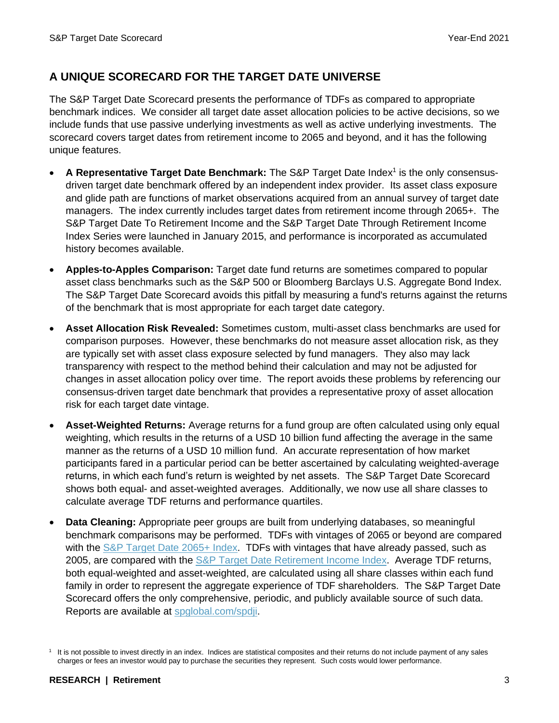## **A UNIQUE SCORECARD FOR THE TARGET DATE UNIVERSE**

The S&P Target Date Scorecard presents the performance of TDFs as compared to appropriate benchmark indices. We consider all target date asset allocation policies to be active decisions, so we include funds that use passive underlying investments as well as active underlying investments. The scorecard covers target dates from retirement income to 2065 and beyond, and it has the following unique features.

- A Representative Target Date Benchmark: The S&P Target Date Index<sup>1</sup> is the only consensusdriven target date benchmark offered by an independent index provider. Its asset class exposure and glide path are functions of market observations acquired from an annual survey of target date managers. The index currently includes target dates from retirement income through 2065+. The S&P Target Date To Retirement Income and the S&P Target Date Through Retirement Income Index Series were launched in January 2015, and performance is incorporated as accumulated history becomes available.
- **Apples-to-Apples Comparison:** Target date fund returns are sometimes compared to popular asset class benchmarks such as the S&P 500 or Bloomberg Barclays U.S. Aggregate Bond Index. The S&P Target Date Scorecard avoids this pitfall by measuring a fund's returns against the returns of the benchmark that is most appropriate for each target date category.
- **Asset Allocation Risk Revealed:** Sometimes custom, multi-asset class benchmarks are used for comparison purposes. However, these benchmarks do not measure asset allocation risk, as they are typically set with asset class exposure selected by fund managers. They also may lack transparency with respect to the method behind their calculation and may not be adjusted for changes in asset allocation policy over time. The report avoids these problems by referencing our consensus-driven target date benchmark that provides a representative proxy of asset allocation risk for each target date vintage.
- **Asset-Weighted Returns:** Average returns for a fund group are often calculated using only equal weighting, which results in the returns of a USD 10 billion fund affecting the average in the same manner as the returns of a USD 10 million fund. An accurate representation of how market participants fared in a particular period can be better ascertained by calculating weighted-average returns, in which each fund's return is weighted by net assets. The S&P Target Date Scorecard shows both equal- and asset-weighted averages. Additionally, we now use all share classes to calculate average TDF returns and performance quartiles.
- **Data Cleaning:** Appropriate peer groups are built from underlying databases, so meaningful benchmark comparisons may be performed. TDFs with vintages of 2065 or beyond are compared with the [S&P Target Date 2065+ Index.](https://www.spglobal.com/spdji/en/indices/multi-asset/sp-target-date-2065-index?utm_source=pdf_commentary) TDFs with vintages that have already passed, such as 2005, are compared with the [S&P Target Date Retirement Income Index.](https://spglobal.com/spdji/en/indices/multi-asset/sp-target-date-retirement-income-index?utm_source=pdf_commentary) Average TDF returns, both equal-weighted and asset-weighted, are calculated using all share classes within each fund family in order to represent the aggregate experience of TDF shareholders. The S&P Target Date Scorecard offers the only comprehensive, periodic, and publicly available source of such data. Reports are available at [spglobal.com/spdji.](https://www.spglobal.com/spdji/en?utm_source=pdf_commentary)

<sup>1</sup> It is not possible to invest directly in an index. Indices are statistical composites and their returns do not include payment of any sales charges or fees an investor would pay to purchase the securities they represent. Such costs would lower performance.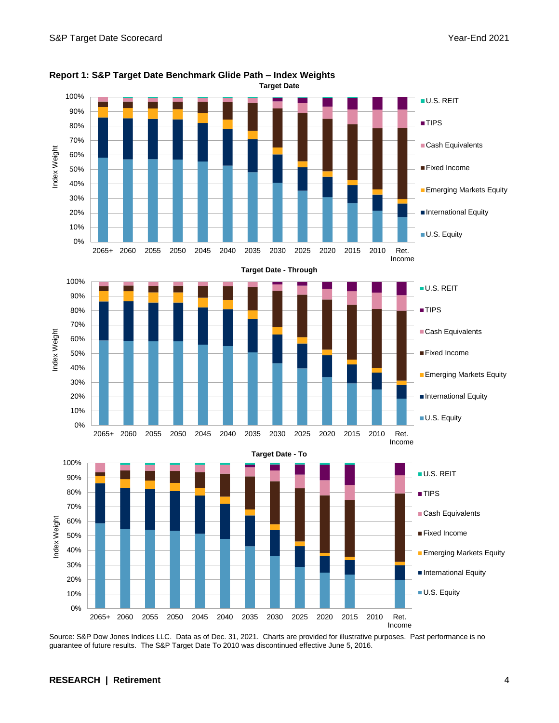

**Report 1: S&P Target Date Benchmark Glide Path – Index Weights**

Source: S&P Dow Jones Indices LLC. Data as of Dec. 31, 2021. Charts are provided for illustrative purposes. Past performance is no guarantee of future results. The S&P Target Date To 2010 was discontinued effective June 5, 2016.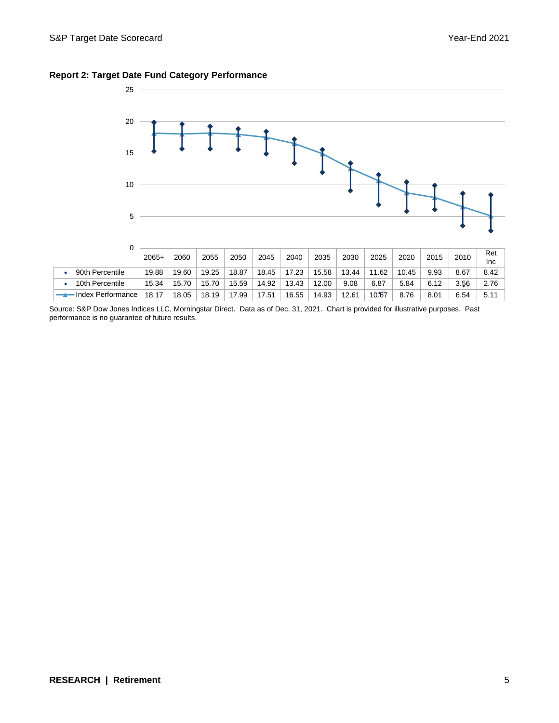

#### **Report 2: Target Date Fund Category Performance**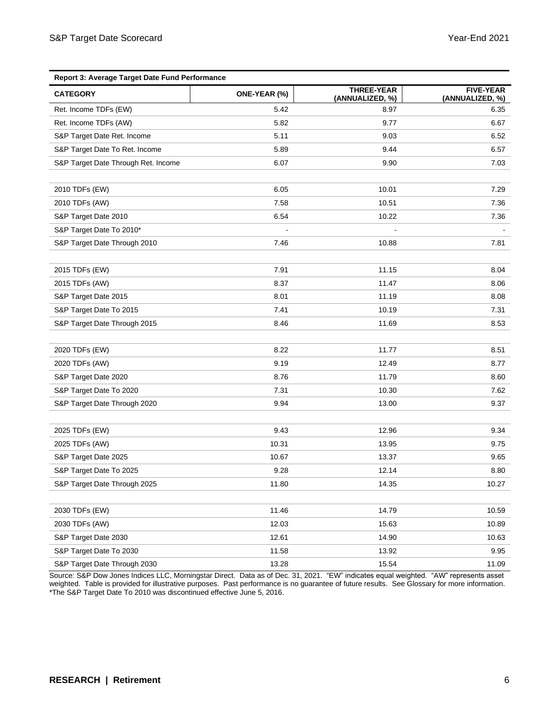| Report 3: Average Target Date Fund Performance |              |                               |                                     |  |  |  |
|------------------------------------------------|--------------|-------------------------------|-------------------------------------|--|--|--|
| <b>CATEGORY</b>                                | ONE-YEAR (%) | THREE-YEAR<br>(ANNUALIZED, %) | <b>FIVE-YEAR</b><br>(ANNUALIZED, %) |  |  |  |
| Ret. Income TDFs (EW)                          | 5.42         | 8.97                          | 6.35                                |  |  |  |
| Ret. Income TDFs (AW)                          | 5.82         | 9.77                          | 6.67                                |  |  |  |
| S&P Target Date Ret. Income                    | 5.11         | 9.03                          | 6.52                                |  |  |  |
| S&P Target Date To Ret. Income                 | 5.89         | 9.44                          | 6.57                                |  |  |  |
| S&P Target Date Through Ret. Income            | 6.07         | 9.90                          | 7.03                                |  |  |  |
|                                                |              |                               |                                     |  |  |  |
| 2010 TDFs (EW)                                 | 6.05         | 10.01                         | 7.29                                |  |  |  |
| 2010 TDFs (AW)                                 | 7.58         | 10.51                         | 7.36                                |  |  |  |
| S&P Target Date 2010                           | 6.54         | 10.22                         | 7.36                                |  |  |  |
| S&P Target Date To 2010*                       |              |                               |                                     |  |  |  |
| S&P Target Date Through 2010                   | 7.46         | 10.88                         | 7.81                                |  |  |  |
|                                                |              |                               |                                     |  |  |  |
| 2015 TDFs (EW)                                 | 7.91         | 11.15                         | 8.04                                |  |  |  |
| 2015 TDFs (AW)                                 | 8.37         | 11.47                         | 8.06                                |  |  |  |
| S&P Target Date 2015                           | 8.01         | 11.19                         | 8.08                                |  |  |  |
| S&P Target Date To 2015                        | 7.41         | 10.19                         | 7.31                                |  |  |  |
| S&P Target Date Through 2015                   | 8.46         | 11.69                         | 8.53                                |  |  |  |
|                                                |              |                               |                                     |  |  |  |
| 2020 TDFs (EW)                                 | 8.22         | 11.77                         | 8.51                                |  |  |  |
| 2020 TDFs (AW)                                 | 9.19         | 12.49                         | 8.77                                |  |  |  |
| S&P Target Date 2020                           | 8.76         | 11.79                         | 8.60                                |  |  |  |
| S&P Target Date To 2020                        | 7.31         | 10.30                         | 7.62                                |  |  |  |
| S&P Target Date Through 2020                   | 9.94         | 13.00                         | 9.37                                |  |  |  |
|                                                |              |                               |                                     |  |  |  |
| 2025 TDFs (EW)                                 | 9.43         | 12.96                         | 9.34                                |  |  |  |
| 2025 TDFs (AW)                                 | 10.31        | 13.95                         | 9.75                                |  |  |  |
| S&P Target Date 2025                           | 10.67        | 13.37                         | 9.65                                |  |  |  |
| S&P Target Date To 2025                        | 9.28         | 12.14                         | 8.80                                |  |  |  |
| S&P Target Date Through 2025                   | 11.80        | 14.35                         | 10.27                               |  |  |  |
|                                                |              |                               |                                     |  |  |  |
| 2030 TDFs (EW)                                 | 11.46        | 14.79                         | 10.59                               |  |  |  |
| 2030 TDFs (AW)                                 | 12.03        | 15.63                         | 10.89                               |  |  |  |
| S&P Target Date 2030                           | 12.61        | 14.90                         | 10.63                               |  |  |  |
| S&P Target Date To 2030                        | 11.58        | 13.92                         | 9.95                                |  |  |  |
| S&P Target Date Through 2030                   | 13.28        | 15.54                         | 11.09                               |  |  |  |

Source: S&P Dow Jones Indices LLC, Morningstar Direct. Data as of Dec. 31, 2021. "EW" indicates equal weighted. "AW" represents asset weighted. Table is provided for illustrative purposes. Past performance is no guarantee of future results. See Glossary for more information. \*The S&P Target Date To 2010 was discontinued effective June 5, 2016.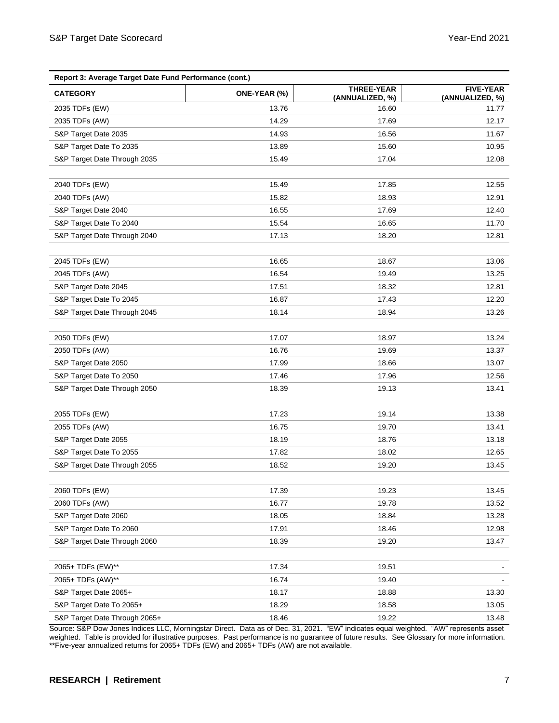| Report 3: Average Target Date Fund Performance (cont.) |              |                                      |                                     |  |  |  |  |
|--------------------------------------------------------|--------------|--------------------------------------|-------------------------------------|--|--|--|--|
| <b>CATEGORY</b>                                        | ONE-YEAR (%) | <b>THREE-YEAR</b><br>(ANNUALIZED, %) | <b>FIVE-YEAR</b><br>(ANNUALIZED, %) |  |  |  |  |
| 2035 TDFs (EW)                                         | 13.76        | 16.60                                | 11.77                               |  |  |  |  |
| 2035 TDFs (AW)                                         | 14.29        | 17.69                                | 12.17                               |  |  |  |  |
| S&P Target Date 2035                                   | 14.93        | 16.56                                | 11.67                               |  |  |  |  |
| S&P Target Date To 2035                                | 13.89        | 15.60                                | 10.95                               |  |  |  |  |
| S&P Target Date Through 2035                           | 15.49        | 17.04                                | 12.08                               |  |  |  |  |
|                                                        |              |                                      |                                     |  |  |  |  |
| 2040 TDFs (EW)                                         | 15.49        | 17.85                                | 12.55                               |  |  |  |  |
| 2040 TDFs (AW)                                         | 15.82        | 18.93                                | 12.91                               |  |  |  |  |
| S&P Target Date 2040                                   | 16.55        | 17.69                                | 12.40                               |  |  |  |  |
| S&P Target Date To 2040                                | 15.54        | 16.65                                | 11.70                               |  |  |  |  |
| S&P Target Date Through 2040                           | 17.13        | 18.20                                | 12.81                               |  |  |  |  |
|                                                        |              |                                      |                                     |  |  |  |  |
| 2045 TDFs (EW)                                         | 16.65        | 18.67                                | 13.06                               |  |  |  |  |
| 2045 TDFs (AW)                                         | 16.54        | 19.49                                | 13.25                               |  |  |  |  |
| S&P Target Date 2045                                   | 17.51        | 18.32                                | 12.81                               |  |  |  |  |
| S&P Target Date To 2045                                | 16.87        | 17.43                                | 12.20                               |  |  |  |  |
| S&P Target Date Through 2045                           | 18.14        | 18.94                                | 13.26                               |  |  |  |  |
|                                                        |              |                                      |                                     |  |  |  |  |
| 2050 TDFs (EW)                                         | 17.07        | 18.97                                | 13.24                               |  |  |  |  |
| 2050 TDFs (AW)                                         | 16.76        | 19.69                                | 13.37                               |  |  |  |  |
| S&P Target Date 2050                                   | 17.99        | 18.66                                | 13.07                               |  |  |  |  |
| S&P Target Date To 2050                                | 17.46        | 17.96                                | 12.56                               |  |  |  |  |
| S&P Target Date Through 2050                           | 18.39        | 19.13                                | 13.41                               |  |  |  |  |
|                                                        |              |                                      |                                     |  |  |  |  |
| 2055 TDFs (EW)                                         | 17.23        | 19.14                                | 13.38                               |  |  |  |  |
| 2055 TDFs (AW)                                         | 16.75        | 19.70                                | 13.41                               |  |  |  |  |
| S&P Target Date 2055                                   | 18.19        | 18.76                                | 13.18                               |  |  |  |  |
| S&P Target Date To 2055                                | 17.82        | 18.02                                | 12.65                               |  |  |  |  |
| S&P Target Date Through 2055                           | 18.52        | 19.20                                | 13.45                               |  |  |  |  |
|                                                        |              |                                      |                                     |  |  |  |  |
| 2060 TDFs (EW)                                         | 17.39        | 19.23                                | 13.45                               |  |  |  |  |
| 2060 TDFs (AW)                                         | 16.77        | 19.78                                | 13.52                               |  |  |  |  |
| S&P Target Date 2060                                   | 18.05        | 18.84                                | 13.28                               |  |  |  |  |
| S&P Target Date To 2060                                | 17.91        | 18.46                                | 12.98                               |  |  |  |  |
| S&P Target Date Through 2060                           | 18.39        | 19.20                                | 13.47                               |  |  |  |  |
|                                                        |              |                                      |                                     |  |  |  |  |
| 2065+ TDFs (EW)**                                      | 17.34        | 19.51                                |                                     |  |  |  |  |
| 2065+ TDFs (AW)**                                      | 16.74        | 19.40                                |                                     |  |  |  |  |
| S&P Target Date 2065+                                  | 18.17        | 18.88                                | 13.30                               |  |  |  |  |
| S&P Target Date To 2065+                               | 18.29        | 18.58                                | 13.05                               |  |  |  |  |
| S&P Target Date Through 2065+                          | 18.46        | 19.22                                | 13.48                               |  |  |  |  |

Source: S&P Dow Jones Indices LLC, Morningstar Direct. Data as of Dec. 31, 2021. "EW" indicates equal weighted. "AW" represents asset weighted. Table is provided for illustrative purposes. Past performance is no guarantee of future results. See Glossary for more information. \*\*Five-year annualized returns for 2065+ TDFs (EW) and 2065+ TDFs (AW) are not available.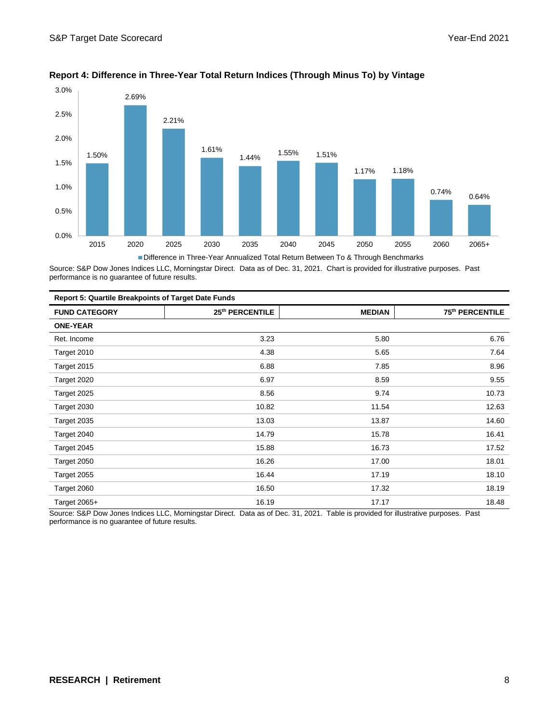

#### **Report 4: Difference in Three-Year Total Return Indices (Through Minus To) by Vintage**

Source: S&P Dow Jones Indices LLC, Morningstar Direct. Data as of Dec. 31, 2021. Chart is provided for illustrative purposes. Past performance is no guarantee of future results.

| <b>Report 5: Quartile Breakpoints of Target Date Funds</b> |                 |               |                 |  |  |
|------------------------------------------------------------|-----------------|---------------|-----------------|--|--|
| <b>FUND CATEGORY</b>                                       | 25th PERCENTILE | <b>MEDIAN</b> | 75th PERCENTILE |  |  |
| <b>ONE-YEAR</b>                                            |                 |               |                 |  |  |
| Ret. Income                                                | 3.23            | 5.80          | 6.76            |  |  |
| Target 2010                                                | 4.38            | 5.65          | 7.64            |  |  |
| Target 2015                                                | 6.88            | 7.85          | 8.96            |  |  |
| Target 2020                                                | 6.97            | 8.59          | 9.55            |  |  |
| Target 2025                                                | 8.56            | 9.74          | 10.73           |  |  |
| Target 2030                                                | 10.82           | 11.54         | 12.63           |  |  |
| Target 2035                                                | 13.03           | 13.87         | 14.60           |  |  |
| Target 2040                                                | 14.79           | 15.78         | 16.41           |  |  |
| Target 2045                                                | 15.88           | 16.73         | 17.52           |  |  |
| Target 2050                                                | 16.26           | 17.00         | 18.01           |  |  |
| Target 2055                                                | 16.44           | 17.19         | 18.10           |  |  |
| Target 2060                                                | 16.50           | 17.32         | 18.19           |  |  |
| Target 2065+                                               | 16.19           | 17.17         | 18.48           |  |  |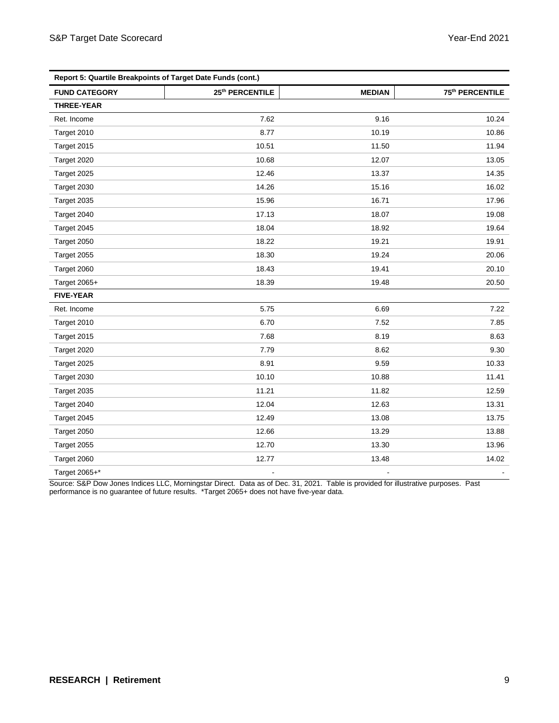| Report 5: Quartile Breakpoints of Target Date Funds (cont.) |                             |                |                             |  |  |  |
|-------------------------------------------------------------|-----------------------------|----------------|-----------------------------|--|--|--|
| <b>FUND CATEGORY</b>                                        | 25 <sup>th</sup> PERCENTILE | <b>MEDIAN</b>  | 75 <sup>th</sup> PERCENTILE |  |  |  |
| THREE-YEAR                                                  |                             |                |                             |  |  |  |
| Ret. Income                                                 | 7.62                        | 9.16           | 10.24                       |  |  |  |
| Target 2010                                                 | 8.77                        | 10.19          | 10.86                       |  |  |  |
| Target 2015                                                 | 10.51                       | 11.50          | 11.94                       |  |  |  |
| Target 2020                                                 | 10.68                       | 12.07          | 13.05                       |  |  |  |
| Target 2025                                                 | 12.46                       | 13.37          | 14.35                       |  |  |  |
| Target 2030                                                 | 14.26                       | 15.16          | 16.02                       |  |  |  |
| Target 2035                                                 | 15.96                       | 16.71          | 17.96                       |  |  |  |
| Target 2040                                                 | 17.13                       | 18.07          | 19.08                       |  |  |  |
| Target 2045                                                 | 18.04                       | 18.92          | 19.64                       |  |  |  |
| Target 2050                                                 | 18.22                       | 19.21          | 19.91                       |  |  |  |
| Target 2055                                                 | 18.30                       | 19.24          | 20.06                       |  |  |  |
| Target 2060                                                 | 18.43                       | 19.41          | 20.10                       |  |  |  |
| Target 2065+                                                | 18.39                       | 19.48          | 20.50                       |  |  |  |
| <b>FIVE-YEAR</b>                                            |                             |                |                             |  |  |  |
| Ret. Income                                                 | 5.75                        | 6.69           | 7.22                        |  |  |  |
| Target 2010                                                 | 6.70                        | 7.52           | 7.85                        |  |  |  |
| Target 2015                                                 | 7.68                        | 8.19           | 8.63                        |  |  |  |
| Target 2020                                                 | 7.79                        | 8.62           | 9.30                        |  |  |  |
| Target 2025                                                 | 8.91                        | 9.59           | 10.33                       |  |  |  |
| Target 2030                                                 | 10.10                       | 10.88          | 11.41                       |  |  |  |
| Target 2035                                                 | 11.21                       | 11.82          | 12.59                       |  |  |  |
| Target 2040                                                 | 12.04                       | 12.63          | 13.31                       |  |  |  |
| Target 2045                                                 | 12.49                       | 13.08          | 13.75                       |  |  |  |
| Target 2050                                                 | 12.66                       | 13.29          | 13.88                       |  |  |  |
| Target 2055                                                 | 12.70                       | 13.30          | 13.96                       |  |  |  |
| Target 2060                                                 | 12.77                       | 13.48          | 14.02                       |  |  |  |
| Target 2065+*                                               |                             | $\blacksquare$ |                             |  |  |  |

Source: S&P Dow Jones Indices LLC, Morningstar Direct. Data as of Dec. 31, 2021. Table is provided for illustrative purposes. Past performance is no guarantee of future results. \*Target 2065+ does not have five-year data.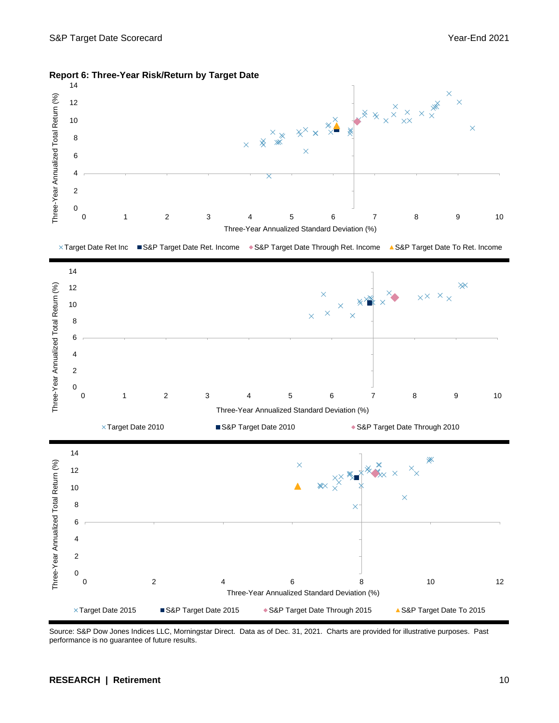

**Report 6: Three-Year Risk/Return by Target Date**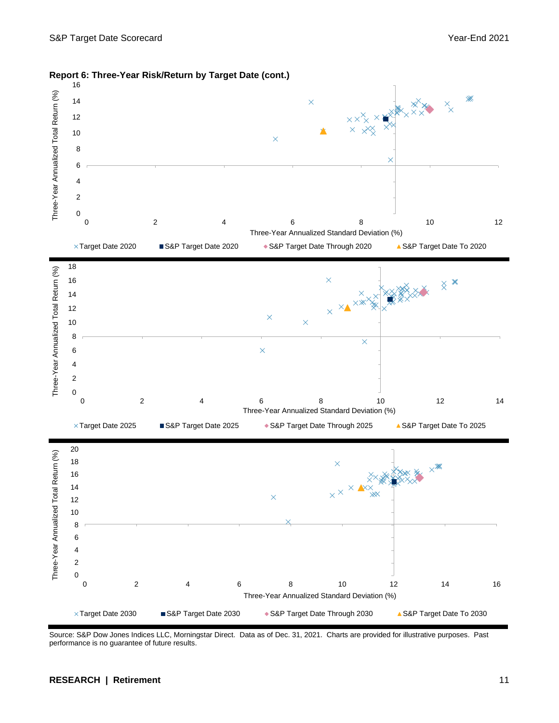

**Report 6: Three-Year Risk/Return by Target Date (cont.)**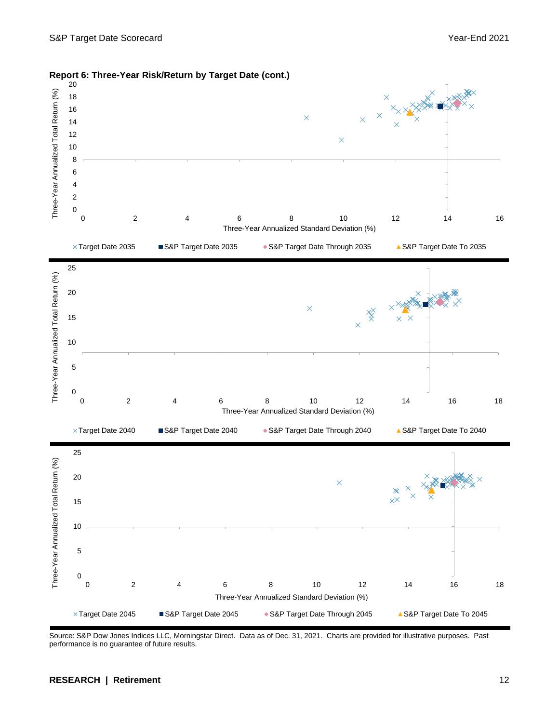

#### **Report 6: Three-Year Risk/Return by Target Date (cont.)**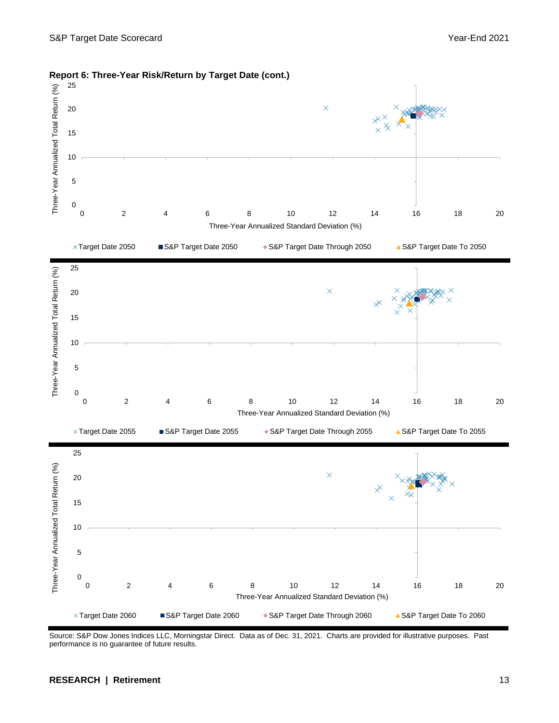

**Report 6: Three-Year Risk/Return by Target Date (cont.)**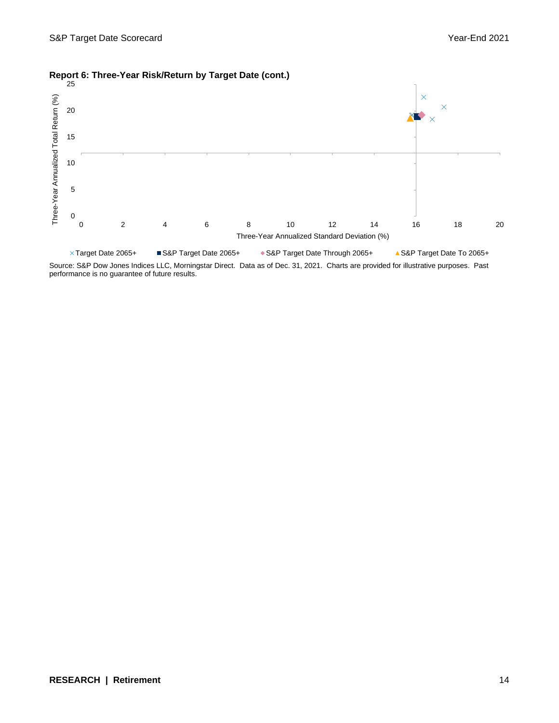

#### **Report 6: Three-Year Risk/Return by Target Date (cont.)**

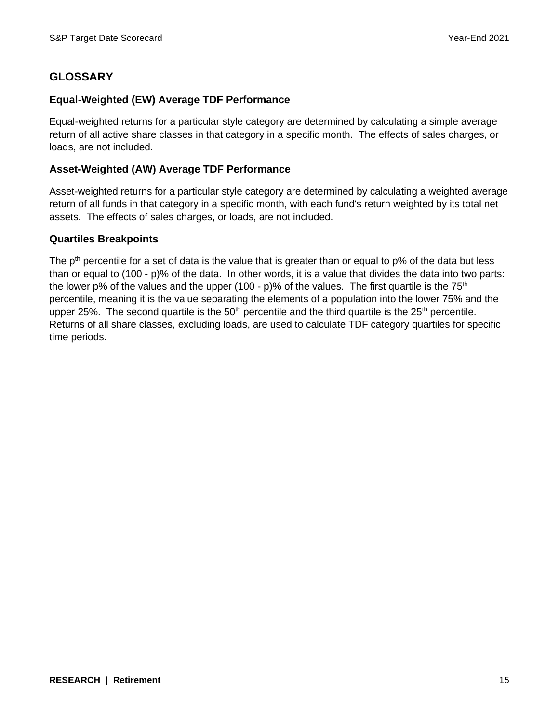### **GLOSSARY**

#### **Equal-Weighted (EW) Average TDF Performance**

Equal-weighted returns for a particular style category are determined by calculating a simple average return of all active share classes in that category in a specific month. The effects of sales charges, or loads, are not included.

#### **Asset-Weighted (AW) Average TDF Performance**

Asset-weighted returns for a particular style category are determined by calculating a weighted average return of all funds in that category in a specific month, with each fund's return weighted by its total net assets. The effects of sales charges, or loads, are not included.

#### **Quartiles Breakpoints**

The  $p<sup>th</sup>$  percentile for a set of data is the value that is greater than or equal to  $p\%$  of the data but less than or equal to (100 - p)% of the data. In other words, it is a value that divides the data into two parts: the lower p% of the values and the upper (100 - p)% of the values. The first quartile is the  $75<sup>th</sup>$ percentile, meaning it is the value separating the elements of a population into the lower 75% and the upper 25%. The second quartile is the  $50<sup>th</sup>$  percentile and the third quartile is the  $25<sup>th</sup>$  percentile. Returns of all share classes, excluding loads, are used to calculate TDF category quartiles for specific time periods.